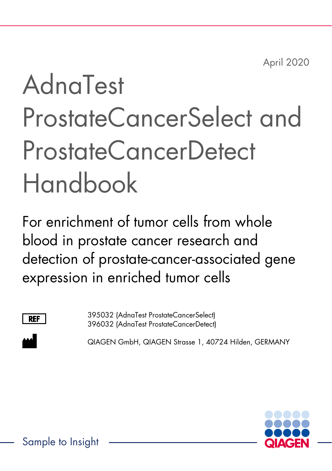April 2020

# AdnaTest ProstateCancerSelect and ProstateCancerDetect Handbook

For enrichment of tumor cells from whole blood in prostate cancer research and detection of prostate-cancer-associated gene expression in enriched tumor cells



395032 (AdnaTest ProstateCancerSelect) 396032 (AdnaTest ProstateCancerDetect)

QIAGEN GmbH, QIAGEN Strasse 1, 40724 Hilden, GERMANY

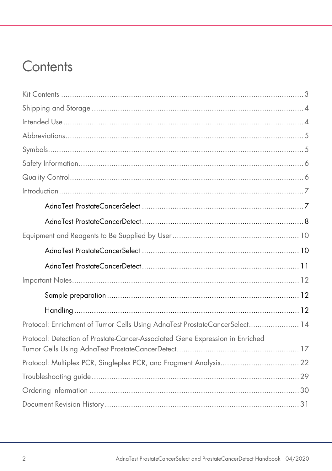### Contents

| Protocol: Enrichment of Tumor Cells Using AdnaTest ProstateCancerSelect 14    |  |
|-------------------------------------------------------------------------------|--|
| Protocol: Detection of Prostate-Cancer-Associated Gene Expression in Enriched |  |
|                                                                               |  |
|                                                                               |  |
|                                                                               |  |
|                                                                               |  |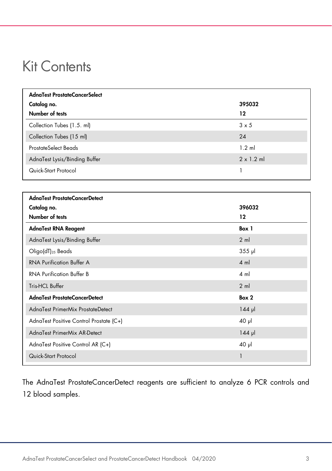### <span id="page-2-0"></span>Kit Contents

| AdnaTest ProstateCancerSelect |                   |
|-------------------------------|-------------------|
| Catalog no.                   | 395032            |
| Number of tests               | 12                |
| Collection Tubes (1.5. ml)    | $3 \times 5$      |
| Collection Tubes (15 ml)      | 24                |
| ProstateSelect Beads          | $1.2$ ml          |
| AdnaTest Lysis/Binding Buffer | $2 \times 1.2$ ml |
| Quick-Start Protocol          |                   |

| AdnaTest ProstateCancerDetect           |                |
|-----------------------------------------|----------------|
| Catalog no.                             | 396032         |
| Number of tests                         | 12             |
| <b>AdnaTest RNA Reagent</b>             | Box 1          |
| AdnaTest Lysis/Binding Buffer           | $2 \text{ ml}$ |
| Oligo(dT) <sub>25</sub> Beads           | $355$ $\mu$    |
| <b>RNA Purification Buffer A</b>        | $4 \text{ ml}$ |
| <b>RNA Purification Buffer B</b>        | $4 \text{ ml}$ |
| Tris-HCL Buffer                         | $2 \text{ ml}$ |
| AdnaTest ProstateCancerDetect           | Box 2          |
| AdnaTest PrimerMix ProstateDetect       | $144$ µ        |
| AdnaTest Positive Control Prostate (C+) | $40 \mu$       |
| AdnaTest PrimerMix AR-Detect            | $144$ pl       |
| AdnaTest Positive Control AR (C+)       | $40 \mu$       |
| Quick-Start Protocol                    | 1              |
|                                         |                |

The AdnaTest ProstateCancerDetect reagents are sufficient to analyze 6 PCR controls and 12 blood samples.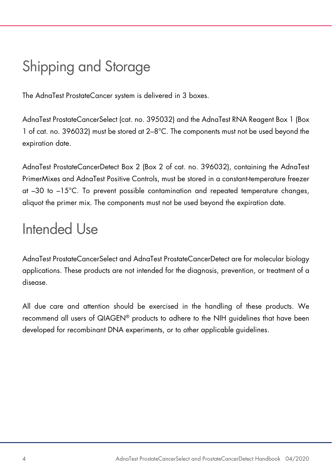# <span id="page-3-0"></span>Shipping and Storage

The AdnaTest ProstateCancer system is delivered in 3 boxes.

AdnaTest ProstateCancerSelect (cat. no. 395032) and the AdnaTest RNA Reagent Box 1 (Box 1 of cat. no. 396032) must be stored at 2–8°C. The components must not be used beyond the expiration date.

AdnaTest ProstateCancerDetect Box 2 (Box 2 of cat. no. 396032), containing the AdnaTest PrimerMixes and AdnaTest Positive Controls, must be stored in a constant-temperature freezer at –30 to –15°C. To prevent possible contamination and repeated temperature changes, aliquot the primer mix. The components must not be used beyond the expiration date.

### <span id="page-3-1"></span>Intended Use

AdnaTest ProstateCancerSelect and AdnaTest ProstateCancerDetect are for molecular biology applications. These products are not intended for the diagnosis, prevention, or treatment of a disease.

All due care and attention should be exercised in the handling of these products. We recommend all users of QIAGEN® products to adhere to the NIH guidelines that have been developed for recombinant DNA experiments, or to other applicable guidelines.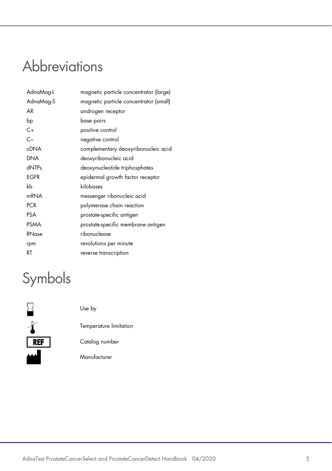### <span id="page-4-0"></span>**Abbreviations**

| AdnaMag-L        | magnetic particle concentrator (large) |
|------------------|----------------------------------------|
| AdnaMag-S        | magnetic particle concentrator (small) |
| AR               | androgen receptor                      |
| bp               | base pairs                             |
| $C+$             | positive control                       |
| $C -$            | negative control                       |
| <b>cDNA</b>      | complementary deoxyribonucleic acid    |
| DNA              | deoxyribonucleic acid                  |
| dNTPs            | deoxynucleotide triphosphates          |
| EGFR             | epidermal growth factor receptor       |
| kb               | kilobases                              |
| m <sub>RNA</sub> | messenger ribonucleic acid             |
| <b>PCR</b>       | polymerase chain reaction              |
| <b>PSA</b>       | prostate-specific antigen              |
| <b>PSMA</b>      | prostate-specific membrane antigen     |
| RNase            | ribonuclease                           |
| rpm              | revolutions per minute                 |
| RT               | reverse transcription                  |

# <span id="page-4-1"></span>Symbols



Use by

Temperature limitation

Catalog number

Manufacturer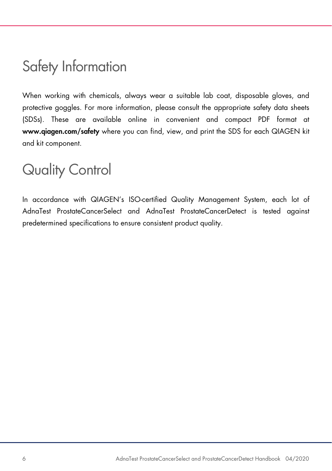### <span id="page-5-0"></span>Safety Information

When working with chemicals, always wear a suitable lab coat, disposable gloves, and protective goggles. For more information, please consult the appropriate safety data sheets (SDSs). These are available online in convenient and compact PDF format at www.qiagen.com/safety where you can find, view, and print the SDS for each QIAGEN kit and kit component.

### <span id="page-5-1"></span>Quality Control

In accordance with QIAGEN's ISO-certified Quality Management System, each lot of AdnaTest ProstateCancerSelect and AdnaTest ProstateCancerDetect is tested against predetermined specifications to ensure consistent product quality.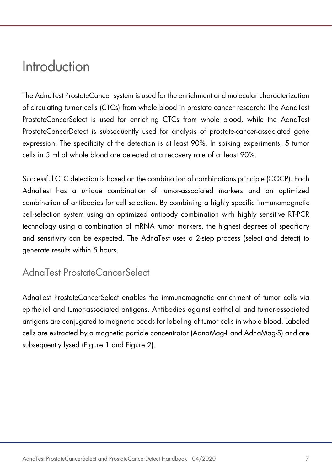### <span id="page-6-0"></span>Introduction

The AdnaTest ProstateCancer system is used for the enrichment and molecular characterization of circulating tumor cells (CTCs) from whole blood in prostate cancer research: The AdnaTest ProstateCancerSelect is used for enriching CTCs from whole blood, while the AdnaTest ProstateCancerDetect is subsequently used for analysis of prostate-cancer-associated gene expression. The specificity of the detection is at least 90%. In spiking experiments, 5 tumor cells in 5 ml of whole blood are detected at a recovery rate of at least 90%.

Successful CTC detection is based on the combination of combinations principle (COCP). Each AdnaTest has a unique combination of tumor-associated markers and an optimized combination of antibodies for cell selection. By combining a highly specific immunomagnetic cell-selection system using an optimized antibody combination with highly sensitive RT-PCR technology using a combination of mRNA tumor markers, the highest degrees of specificity and sensitivity can be expected. The AdnaTest uses a 2-step process (select and detect) to generate results within 5 hours.

<span id="page-6-1"></span>AdnaTest ProstateCancerSelect

AdnaTest ProstateCancerSelect enables the immunomagnetic enrichment of tumor cells via epithelial and tumor-associated antigens. Antibodies against epithelial and tumor-associated antigens are conjugated to magnetic beads for labeling of tumor cells in whole blood. Labeled cells are extracted by a magnetic particle concentrator (AdnaMag-L and AdnaMag-S) and are subsequently lysed [\(Figure 1](#page-7-1) and [Figure 2\)](#page-8-0).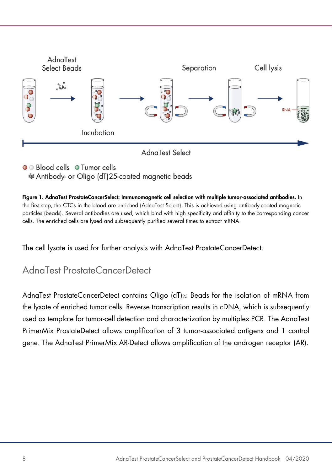

• Blood cells • Tumor cells & Antibody- or Oligo (dT)25-coated magnetic beads

<span id="page-7-1"></span>Figure 1. AdnaTest ProstateCancerSelect: Immunomagnetic cell selection with multiple tumor-associated antibodies. In the first step, the CTCs in the blood are enriched (AdnaTest Select). This is achieved using antibody-coated magnetic particles (beads). Several antibodies are used, which bind with high specificity and affinity to the corresponding cancer cells. The enriched cells are lysed and subsequently purified several times to extract mRNA.

The cell lysate is used for further analysis with AdnaTest ProstateCancerDetect.

### <span id="page-7-0"></span>AdnaTest ProstateCancerDetect

AdnaTest ProstateCancerDetect contains Oligo (dT)25 Beads for the isolation of mRNA from the lysate of enriched tumor cells. Reverse transcription results in cDNA, which is subsequently used as template for tumor-cell detection and characterization by multiplex PCR. The AdnaTest PrimerMix ProstateDetect allows amplification of 3 tumor-associated antigens and 1 control gene. The AdnaTest PrimerMix AR-Detect allows amplification of the androgen receptor (AR).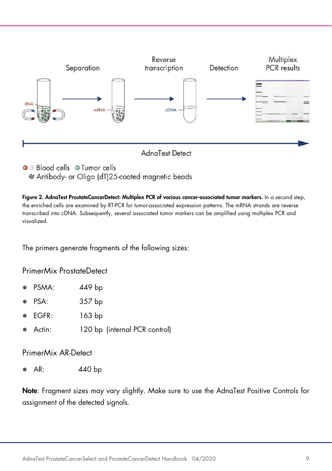

& Antibody- or Oligo (dT)25-coated magnetic beads

<span id="page-8-0"></span>Figure 2. AdnaTest ProstateCancerDetect: Multiplex PCR of various cancer-associated tumor markers. In a second step, the enriched cells are examined by RT-PCR for tumor-associated expression patterns. The mRNA strands are reverse transcribed into cDNA. Subsequently, several associated tumor markers can be amplified using multiplex PCR and visualized.

The primers generate fragments of the following sizes:

PrimerMix ProstateDetect

- PSMA: 449 bp
- PSA: 357 bp
- EGFR: 163 bp
- Actin: 120 bp (internal PCR control)

PrimerMix AR-Detect

AR: 440 bp

Note: Fragment sizes may vary slightly. Make sure to use the AdnaTest Positive Controls for assignment of the detected signals.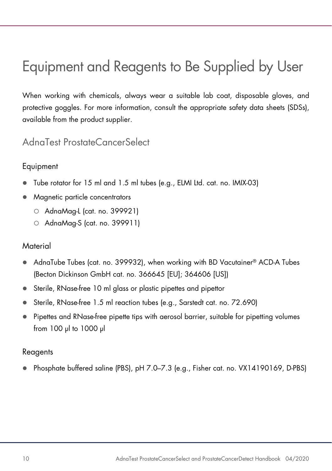# <span id="page-9-0"></span>Equipment and Reagents to Be Supplied by User

When working with chemicals, always wear a suitable lab coat, disposable gloves, and protective goggles. For more information, consult the appropriate safety data sheets (SDSs), available from the product supplier.

#### <span id="page-9-1"></span>AdnaTest ProstateCancerSelect

#### Equipment

- Tube rotator for 15 ml and 1.5 ml tubes (e.g., ELMI Ltd. cat. no. IMIX-03)
- Magnetic particle concentrators
	- AdnaMag-L (cat. no. 399921)
	- AdnaMag-S (cat. no. 399911)

#### **Material**

- AdnaTube Tubes (cat. no. 399932), when working with BD Vacutainer® ACD-A Tubes (Becton Dickinson GmbH cat. no. 366645 [EU]; 364606 [US])
- Sterile, RNase-free 10 ml glass or plastic pipettes and pipettor
- Sterile, RNase-free 1.5 ml reaction tubes (e.g., Sarstedt cat. no. 72.690)
- Pipettes and RNase-free pipette tips with aerosol barrier, suitable for pipetting volumes from 100 µl to 1000 µl

#### Reagents

Phosphate buffered saline (PBS), pH 7.0–7.3 (e.g., Fisher cat. no. VX14190169, D-PBS)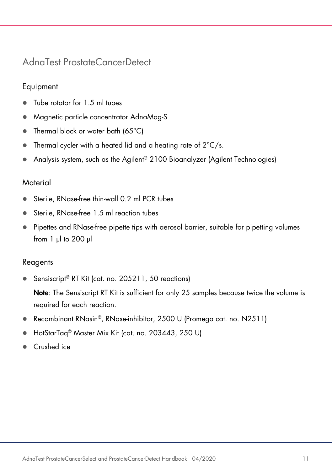### <span id="page-10-0"></span>AdnaTest ProstateCancerDetect

#### Equipment

- Tube rotator for 1.5 ml tubes
- Magnetic particle concentrator AdnaMag-S
- Thermal block or water bath (65°C)
- $\bullet$  Thermal cycler with a heated lid and a heating rate of  $2^{\circ}C/s$ .
- Analysis system, such as the Agilent® 2100 Bioanalyzer (Agilent Technologies)

#### **Material**

- Sterile, RNase-free thin-wall 0.2 ml PCR tubes
- Sterile, RNase-free 1.5 ml reaction tubes
- Pipettes and RNase-free pipette tips with aerosol barrier, suitable for pipetting volumes from 1 µl to 200 µl

#### Reagents

Sensiscript<sup>®</sup> RT Kit (cat. no. 205211, 50 reactions)

Note: The Sensiscript RT Kit is sufficient for only 25 samples because twice the volume is required for each reaction.

- Recombinant RNasin®, RNase-inhibitor, 2500 U (Promega cat. no. N2511)
- HotStarTaq<sup>®</sup> Master Mix Kit (cat. no. 203443, 250 U)
- Crushed ice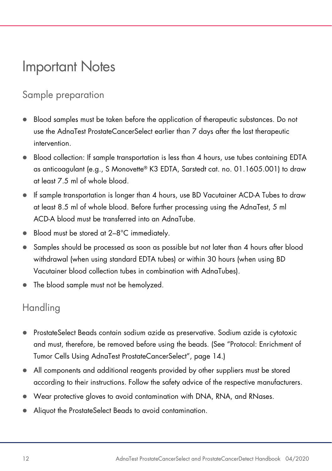### <span id="page-11-0"></span>Important Notes

### <span id="page-11-1"></span>Sample preparation

- Blood samples must be taken before the application of therapeutic substances. Do not use the AdnaTest ProstateCancerSelect earlier than 7 days after the last therapeutic intervention.
- Blood collection: If sample transportation is less than 4 hours, use tubes containing EDTA as anticoagulant (e.g., S Monovette® K3 EDTA, Sarstedt cat. no. 01.1605.001) to draw at least 7.5 ml of whole blood.
- If sample transportation is longer than 4 hours, use BD Vacutainer ACD-A Tubes to draw at least 8.5 ml of whole blood. Before further processing using the AdnaTest, 5 ml ACD-A blood must be transferred into an AdnaTube.
- Blood must be stored at 2–8°C immediately.
- Samples should be processed as soon as possible but not later than 4 hours after blood withdrawal (when using standard EDTA tubes) or within 30 hours (when using BD Vacutainer blood collection tubes in combination with AdnaTubes).
- The blood sample must not be hemolyzed.

### <span id="page-11-2"></span>Handling

- ProstateSelect Beads contain sodium azide as preservative. Sodium azide is cytotoxic and must, therefore, be removed before using the beads. (See ["Protocol: Enrichment of](#page-13-0)  [Tumor Cells Using AdnaTest ProstateCancerSelect"](#page-13-0), page [14.](#page-13-0))
- All components and additional reagents provided by other suppliers must be stored according to their instructions. Follow the safety advice of the respective manufacturers.
- Wear protective gloves to avoid contamination with DNA, RNA, and RNases.
- Aliquot the ProstateSelect Beads to avoid contamination.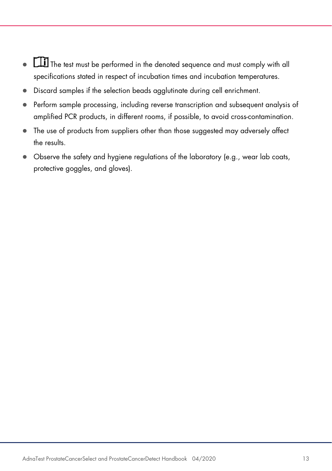- **TH** The test must be performed in the denoted sequence and must comply with all specifications stated in respect of incubation times and incubation temperatures.
- Discard samples if the selection beads agglutinate during cell enrichment.
- Perform sample processing, including reverse transcription and subsequent analysis of amplified PCR products, in different rooms, if possible, to avoid cross-contamination.
- The use of products from suppliers other than those suggested may adversely affect the results.
- Observe the safety and hygiene regulations of the laboratory (e.g., wear lab coats, protective goggles, and gloves).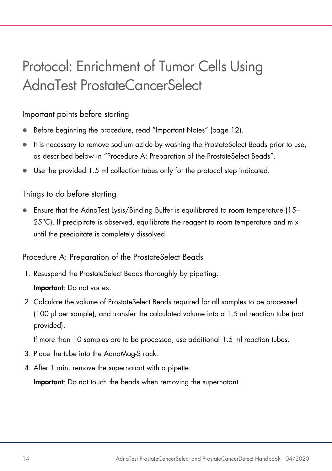# <span id="page-13-0"></span>Protocol: Enrichment of Tumor Cells Using AdnaTest ProstateCancerSelect

#### Important points before starting

- Before beginning the procedure, read ["Important Notes"](#page-11-0) (page [12\)](#page-11-0).
- It is necessary to remove sodium azide by washing the ProstateSelect Beads prior to use, as described below in ["Procedure A: Preparation of the ProstateSelect Beads"](#page-13-1).
- Use the provided 1.5 ml collection tubes only for the protocol step indicated.

#### Things to do before starting

 Ensure that the AdnaTest Lysis/Binding Buffer is equilibrated to room temperature (15–  $25^{\circ}$ C). If precipitate is observed, equilibrate the reagent to room temperature and mix until the precipitate is completely dissolved.

#### <span id="page-13-1"></span>Procedure A: Preparation of the ProstateSelect Beads

- 1. Resuspend the ProstateSelect Beads thoroughly by pipetting. Important: Do not vortex.
- 2. Calculate the volume of ProstateSelect Beads required for all samples to be processed (100 µl per sample), and transfer the calculated volume into a 1.5 ml reaction tube (not provided).

If more than 10 samples are to be processed, use additional 1.5 ml reaction tubes.

- 3. Place the tube into the AdnaMag-S rack.
- 4. After 1 min, remove the supernatant with a pipette.

Important: Do not touch the beads when removing the supernatant.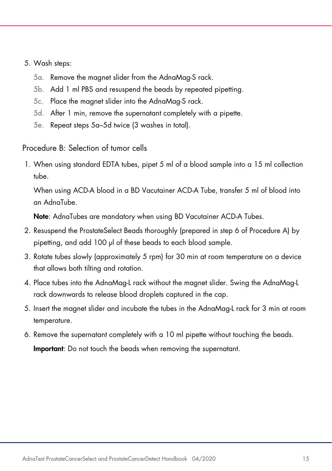#### <span id="page-14-0"></span>5. Wash steps:

- 5a. Remove the magnet slider from the AdnaMag-S rack.
- 5b. Add 1 ml PBS and resuspend the beads by repeated pipetting.
- 5c. Place the magnet slider into the AdnaMag-S rack.
- <span id="page-14-1"></span>5d. After 1 min, remove the supernatant completely with a pipette.
- 5e. Repeat steps [5a](#page-14-0)[–5d](#page-14-1) twice (3 washes in total).

Procedure B: Selection of tumor cells

1. When using standard EDTA tubes, pipet 5 ml of a blood sample into a 15 ml collection tube.

When using ACD-A blood in a BD Vacutainer ACD-A Tube, transfer 5 ml of blood into an AdnaTube.

Note: AdnaTubes are mandatory when using BD Vacutainer ACD-A Tubes.

- 2. Resuspend the ProstateSelect Beads thoroughly (prepared in step 6 of Procedure A) by pipetting, and add 100 µl of these beads to each blood sample.
- 3. Rotate tubes slowly (approximately 5 rpm) for 30 min at room temperature on a device that allows both tilting and rotation.
- 4. Place tubes into the AdnaMag-L rack without the magnet slider. Swing the AdnaMag-L rack downwards to release blood droplets captured in the cap.
- 5. Insert the magnet slider and incubate the tubes in the AdnaMag-L rack for 3 min at room temperature.
- 6. Remove the supernatant completely with a 10 ml pipette without touching the beads. Important: Do not touch the beads when removing the supernatant.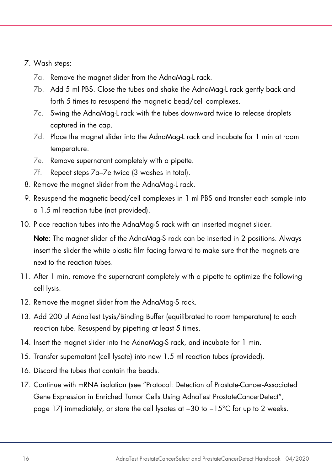#### <span id="page-15-0"></span>7. Wash steps:

- 7a. Remove the magnet slider from the AdnaMag-L rack.
- 7b. Add 5 ml PBS. Close the tubes and shake the AdnaMag-L rack gently back and forth 5 times to resuspend the magnetic bead/cell complexes.
- 7c. Swing the AdnaMag-L rack with the tubes downward twice to release droplets captured in the cap.
- 7d. Place the magnet slider into the AdnaMag-L rack and incubate for 1 min at room temperature.
- <span id="page-15-1"></span>7e. Remove supernatant completely with a pipette.
- 7f. Repeat steps [7a](#page-15-0)[–7e](#page-15-1) twice (3 washes in total).
- 8. Remove the magnet slider from the AdnaMag-L rack.
- 9. Resuspend the magnetic bead/cell complexes in 1 ml PBS and transfer each sample into a 1.5 ml reaction tube (not provided).
- 10. Place reaction tubes into the AdnaMag-S rack with an inserted magnet slider.

Note: The magnet slider of the AdnaMag-S rack can be inserted in 2 positions. Always insert the slider the white plastic film facing forward to make sure that the magnets are next to the reaction tubes.

- 11. After 1 min, remove the supernatant completely with a pipette to optimize the following cell lysis.
- 12. Remove the magnet slider from the AdnaMag-S rack.
- 13. Add 200 µl AdnaTest Lysis/Binding Buffer (equilibrated to room temperature) to each reaction tube. Resuspend by pipetting at least 5 times.
- 14. Insert the magnet slider into the AdnaMag-S rack, and incubate for 1 min.
- <span id="page-15-2"></span>15. Transfer supernatant (cell lysate) into new 1.5 ml reaction tubes (provided).
- 16. Discard the tubes that contain the beads.
- 17. Continue with mRNA isolation (see ["Protocol: Detection of Prostate-Cancer-Associated](#page-16-0)  [Gene Expression in Enriched Tumor Cells Using AdnaTest ProstateCancerDetect"](#page-16-0), page [17\)](#page-16-0) immediately, or store the cell lysates at −30 to −15°C for up to 2 weeks.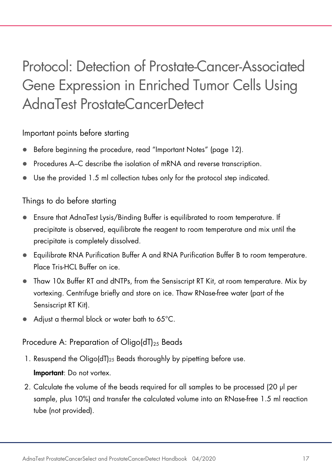# <span id="page-16-0"></span>Protocol: Detection of Prostate-Cancer-Associated Gene Expression in Enriched Tumor Cells Using AdnaTest ProstateCancerDetect

#### Important points before starting

- Before beginning the procedure, read ["Important Notes"](#page-11-0) (page [12\)](#page-11-0).
- Procedures A–C describe the isolation of mRNA and reverse transcription.
- Use the provided 1.5 ml collection tubes only for the protocol step indicated.

#### Things to do before starting

- Ensure that AdnaTest Lysis/Binding Buffer is equilibrated to room temperature. If precipitate is observed, equilibrate the reagent to room temperature and mix until the precipitate is completely dissolved.
- Equilibrate RNA Purification Buffer A and RNA Purification Buffer B to room temperature. Place Tris-HCL Buffer on ice.
- Thaw 10x Buffer RT and dNTPs, from the Sensiscript RT Kit, at room temperature. Mix by vortexing. Centrifuge briefly and store on ice. Thaw RNase-free water (part of the Sensiscript RT Kit).
- Adjust a thermal block or water bath to 65°C.

#### Procedure A: Preparation of Oligo( $dT$ )<sub>25</sub> Beads

1. Resuspend the Oligo(dT)<sub>25</sub> Beads thoroughly by pipetting before use.

#### Important: Do not vortex.

<span id="page-16-1"></span>2. Calculate the volume of the beads required for all samples to be processed (20 µl per sample, plus 10%) and transfer the calculated volume into an RNase-free 1.5 ml reaction tube (not provided).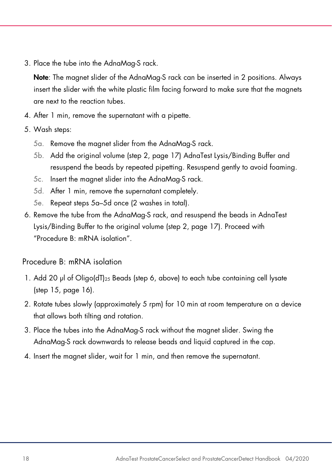3. Place the tube into the AdnaMag-S rack.

Note: The magnet slider of the AdnaMag-S rack can be inserted in 2 positions. Always insert the slider with the white plastic film facing forward to make sure that the magnets are next to the reaction tubes.

- 4. After 1 min, remove the supernatant with a pipette.
- <span id="page-17-0"></span>5. Wash steps:
	- 5a. Remove the magnet slider from the AdnaMag-S rack.
	- 5b. Add the original volume (step [2,](#page-16-1) page [17\)](#page-16-1) AdnaTest Lysis/Binding Buffer and resuspend the beads by repeated pipetting. Resuspend gently to avoid foaming.
	- 5c. Insert the magnet slider into the AdnaMag-S rack.
	- 5d. After 1 min, remove the supernatant completely.
	- 5e. Repeat steps [5a](#page-17-0)[–5d](#page-17-1) once (2 washes in total).
- <span id="page-17-3"></span><span id="page-17-1"></span>6. Remove the tube from the AdnaMag-S rack, and resuspend the beads in AdnaTest Lysis/Binding Buffer to the original volume (step [2,](#page-16-1) page [17\)](#page-16-1). Proceed with "Procedure [B: mRNA isolation"](#page-17-2).

<span id="page-17-2"></span>Procedure B: mRNA isolation

- 1. Add 20 µl of Oligo(dT)<sub>25</sub> Beads (step [6,](#page-17-3) above) to each tube containing cell lysate (step [15,](#page-15-2) page [16\).](#page-15-2)
- 2. Rotate tubes slowly (approximately 5 rpm) for 10 min at room temperature on a device that allows both tilting and rotation.
- 3. Place the tubes into the AdnaMag-S rack without the magnet slider. Swing the AdnaMag-S rack downwards to release beads and liquid captured in the cap.
- 4. Insert the magnet slider, wait for 1 min, and then remove the supernatant.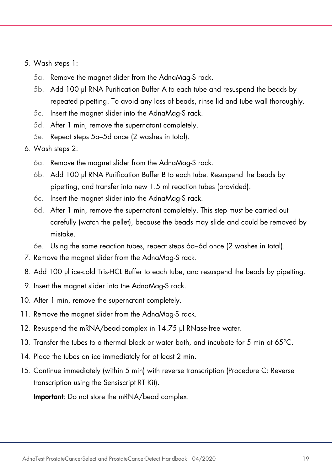- <span id="page-18-0"></span>5. Wash steps 1:
	- 5a. Remove the magnet slider from the AdnaMag-S rack.
	- 5b. Add 100 µl RNA Purification Buffer A to each tube and resuspend the beads by repeated pipetting. To avoid any loss of beads, rinse lid and tube wall thoroughly.
	- 5c. Insert the magnet slider into the AdnaMag-S rack.
	- 5d. After 1 min, remove the supernatant completely.
	- 5e. Repeat steps [5a](#page-18-0)[–5d](#page-18-1) once (2 washes in total).
- <span id="page-18-2"></span><span id="page-18-1"></span>6. Wash steps 2:
	- 6a. Remove the magnet slider from the AdnaMag-S rack.
	- 6b. Add 100 µl RNA Purification Buffer B to each tube. Resuspend the beads by pipetting, and transfer into new 1.5 ml reaction tubes (provided).
	- 6c. Insert the magnet slider into the AdnaMag-S rack.
	- 6d. After 1 min, remove the supernatant completely. This step must be carried out carefully (watch the pellet), because the beads may slide and could be removed by mistake.
	- 6e. Using the same reaction tubes, repeat steps [6a–](#page-18-2)[6d](#page-18-3) once (2 washes in total).
- <span id="page-18-3"></span>7. Remove the magnet slider from the AdnaMag-S rack.
- 8. Add 100 µl ice-cold Tris-HCL Buffer to each tube, and resuspend the beads by pipetting.
- 9. Insert the magnet slider into the AdnaMag-S rack.
- <span id="page-18-4"></span>10. After 1 min, remove the supernatant completely.
- 11. Remove the magnet slider from the AdnaMag-S rack.
- 12. Resuspend the mRNA/bead-complex in 14.75 µl RNase-free water.
- 13. Transfer the tubes to a thermal block or water bath, and incubate for 5 min at 65°C.
- 14. Place the tubes on ice immediately for at least 2 min.
- 15. Continue immediately (within 5 min) with reverse transcription [\(Procedure C: Reverse](#page-19-0)  [transcription using the Sensiscript RT Kit\)](#page-19-0).

Important: Do not store the mRNA/bead complex.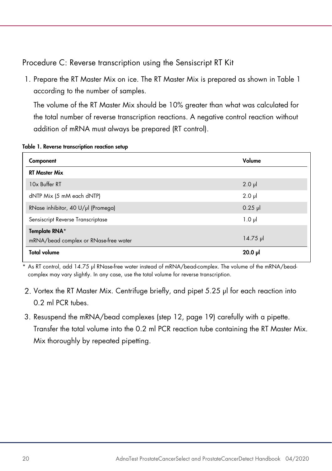<span id="page-19-0"></span>Procedure C: Reverse transcription using the Sensiscript RT Kit

1. Prepare the RT Master Mix on ice. The RT Master Mix is prepared as shown in [Table 1](#page-19-1) according to the number of samples.

The volume of the RT Master Mix should be 10% greater than what was calculated for the total number of reverse transcription reactions. A negative control reaction without addition of mRNA must always be prepared (RT control).

| Component                                              | Volume             |
|--------------------------------------------------------|--------------------|
| <b>RT Master Mix</b>                                   |                    |
| 10x Buffer RT                                          | $2.0$ $\mu$        |
| dNTP Mix (5 mM each dNTP)                              | $2.0$ $\mu$        |
| RNase inhibitor, 40 U/µl (Promega)                     | $0.25$ pl          |
| Sensiscript Reverse Transcriptase                      | $1.0 \mu$          |
| Template RNA*<br>mRNA/bead complex or RNase-free water | $14.75 \text{ pl}$ |
| <b>Total volume</b>                                    | $20.0 \text{ pl}$  |

<span id="page-19-1"></span>Table 1. Reverse transcription reaction setup

\* As RT control, add 14.75 µl RNase-free water instead of mRNA/bead-complex. The volume of the mRNA/beadcomplex may vary slightly. In any case, use the total volume for reverse transcription.

- 2. Vortex the RT Master Mix. Centrifuge briefly, and pipet 5.25 µl for each reaction into 0.2 ml PCR tubes.
- 3. Resuspend the mRNA/bead complexes (step 12, page [19\)](#page-18-4) carefully with a pipette. Transfer the total volume into the 0.2 ml PCR reaction tube containing the RT Master Mix. Mix thoroughly by repeated pipetting.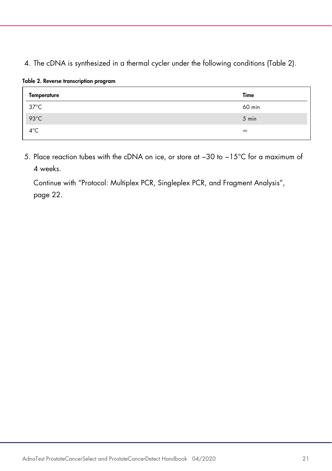#### 4. The cDNA is synthesized in a thermal cycler under the following conditions [\(Table 2\)](#page-20-0).

<span id="page-20-0"></span>

|  |  |  | Table 2. Reverse transcription program |  |
|--|--|--|----------------------------------------|--|
|--|--|--|----------------------------------------|--|

| Temperature    | Time     |
|----------------|----------|
| $37^{\circ}$ C | 60 min   |
| $93^{\circ}$ C | 5 min    |
| $4^{\circ}$ C  | $\infty$ |

5. Place reaction tubes with the cDNA on ice, or store at −30 to −15°C for a maximum of 4 weeks.

<span id="page-20-1"></span>Continue with ["Protocol: Multiplex PCR, Singleplex PCR, and Fragment Analysis"](#page-21-0), page [22.](#page-20-1)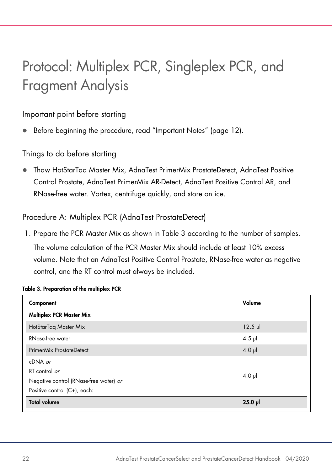# <span id="page-21-0"></span>Protocol: Multiplex PCR, Singleplex PCR, and Fragment Analysis

#### Important point before starting

Before beginning the procedure, read ["Important Notes"](#page-11-0) (page [12\)](#page-11-0).

#### Things to do before starting

 Thaw HotStarTaq Master Mix, AdnaTest PrimerMix ProstateDetect, AdnaTest Positive Control Prostate, AdnaTest PrimerMix AR-Detect, AdnaTest Positive Control AR, and RNase-free water. Vortex, centrifuge quickly, and store on ice.

#### Procedure A: Multiplex PCR (AdnaTest ProstateDetect)

1. Prepare the PCR Master Mix as shown in [Table 3](#page-21-1) according to the number of samples. The volume calculation of the PCR Master Mix should include at least 10% excess volume. Note that an AdnaTest Positive Control Prostate, RNase-free water as negative control, and the RT control must always be included.

| Component                              | Volume       |
|----------------------------------------|--------------|
| Multiplex PCR Master Mix               |              |
| HotStarTag Master Mix                  | $12.5$ $\mu$ |
| RNase-free water                       | $4.5$ pl     |
| PrimerMix ProstateDetect               | $4.0$ pl     |
| $cDNA$ or                              |              |
| RT control or                          | $4.0$ pl     |
| Negative control (RNase-free water) or |              |
| Positive control (C+), each:           |              |
| <b>Total volume</b>                    | $25.0$ pl    |

#### <span id="page-21-1"></span>Table 3. Preparation of the multiplex PCR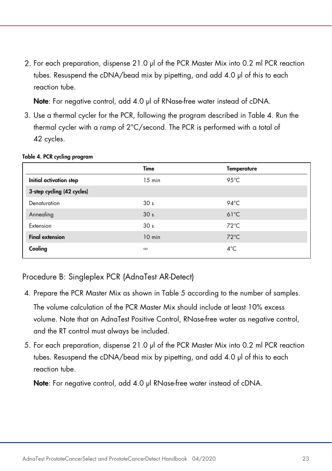2. For each preparation, dispense 21.0 µl of the PCR Master Mix into 0.2 ml PCR reaction tubes. Resuspend the cDNA/bead mix by pipetting, and add 4.0 µl of this to each reaction tube.

Note: For negative control, add 4.0 µl of RNase-free water instead of cDNA.

3. Use a thermal cycler for the PCR, following the program described in [Table 4.](#page-22-0) Run the thermal cycler with a ramp of 2°C/second. The PCR is performed with a total of 42 cycles.

|                            | Time            | <b>Temperature</b> |
|----------------------------|-----------------|--------------------|
| Initial activation step    | $15$ min        | $95^{\circ}$ C     |
| 3-step cycling (42 cycles) |                 |                    |
| Denaturation               | 30 <sub>s</sub> | 94 $\degree$ C     |
| Annealing                  | 30 <sub>s</sub> | $61^{\circ}$ C     |
| Extension                  | 30 <sub>s</sub> | $72^{\circ}$ C     |
| <b>Final extension</b>     | $10$ min        | $72^{\circ}$ C     |
| Cooling                    | $\infty$        | $4^{\circ}$ C      |

#### <span id="page-22-0"></span>Table 4. PCR cycling program

Procedure B: Singleplex PCR (AdnaTest AR-Detect)

- 4. Prepare the PCR Master Mix as shown in [Table 5](#page-23-0) according to the number of samples. The volume calculation of the PCR Master Mix should include at least 10% excess volume. Note that an AdnaTest Positive Control, RNase-free water as negative control, and the RT control must always be included.
- 5. For each preparation, dispense 21.0 µl of the PCR Master Mix into 0.2 ml PCR reaction tubes. Resuspend the cDNA/bead mix by pipetting, and add 4.0 µl of this to each reaction tube.

Note: For negative control, add 4.0 µl RNase-free water instead of cDNA.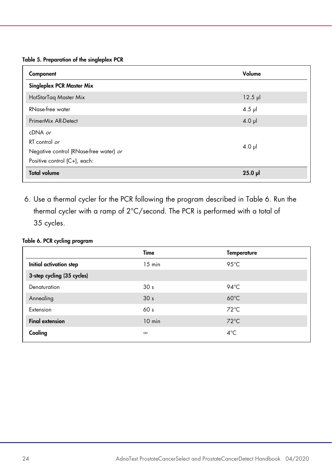#### <span id="page-23-0"></span>Table 5. Preparation of the singleplex PCR

| Component                                                                                            | Volume    |
|------------------------------------------------------------------------------------------------------|-----------|
| Singleplex PCR Master Mix                                                                            |           |
| HotStarTag Master Mix                                                                                | $12.5$ pl |
| RNase-free water                                                                                     | $4.5$ pl  |
| PrimerMix AR-Detect                                                                                  | $4.0$ pl  |
| $cDNA$ or<br>RT control or<br>Negative control (RNase-free water) or<br>Positive control (C+), each: | $4.0$ pl  |
| <b>Total volume</b>                                                                                  | $25.0$ pl |

6. Use a thermal cycler for the PCR following the program described in [Table 6.](#page-23-1) Run the thermal cycler with a ramp of 2°C/second. The PCR is performed with a total of 35 cycles.

#### <span id="page-23-1"></span>Table 6. PCR cycling program

|                            | Time             | <b>Temperature</b> |
|----------------------------|------------------|--------------------|
| Initial activation step    | $15 \text{ min}$ | $95^{\circ}$ C     |
| 3-step cycling (35 cycles) |                  |                    |
| Denaturation               | 30 <sub>s</sub>  | $94^{\circ}$ C     |
| Annealing                  | 30 <sub>s</sub>  | $60^{\circ}$ C     |
| Extension                  | 60 <sub>s</sub>  | $72^{\circ}$ C     |
| <b>Final extension</b>     | $10$ min         | $72^{\circ}$ C     |
| Cooling                    | $\infty$         | $4^{\circ}$ C      |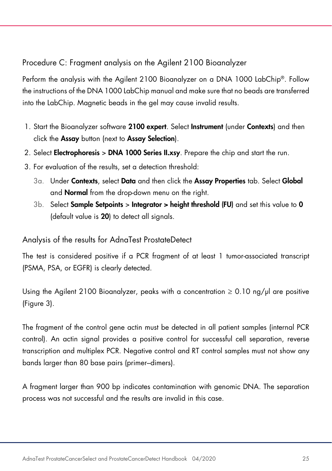#### Procedure C: Fragment analysis on the Agilent 2100 Bioanalyzer

Perform the analysis with the Agilent 2100 Bioanalyzer on a DNA 1000 LabChip®. Follow the instructions of the DNA 1000 LabChip manual and make sure that no beads are transferred into the LabChip. Magnetic beads in the gel may cause invalid results.

- 1. Start the Bioanalyzer software 2100 expert. Select Instrument (under Contexts) and then click the Assay button (next to Assay Selection).
- 2. Select Electrophoresis > DNA 1000 Series II.xsy. Prepare the chip and start the run.
- 3. For evaluation of the results, set a detection threshold:
	- 3a. Under Contexts, select Data and then click the Assay Properties tab. Select Global and Normal from the drop-down menu on the right.
	- $3b.$  Select **Sample Setpoints > Integrator > height threshold (FU)** and set this value to 0 (default value is 20) to detect all signals.

#### Analysis of the results for AdnaTest ProstateDetect

The test is considered positive if a PCR fragment of at least 1 tumor-associated transcript (PSMA, PSA, or EGFR) is clearly detected.

Using the Agilent 2100 Bioanalyzer, peaks with a concentration  $\geq 0.10$  ng/ul are positive [\(Figure 3\)](#page-25-0).

The fragment of the control gene actin must be detected in all patient samples (internal PCR control). An actin signal provides a positive control for successful cell separation, reverse transcription and multiplex PCR. Negative control and RT control samples must not show any bands larger than 80 base pairs (primer–dimers).

A fragment larger than 900 bp indicates contamination with genomic DNA. The separation process was not successful and the results are invalid in this case.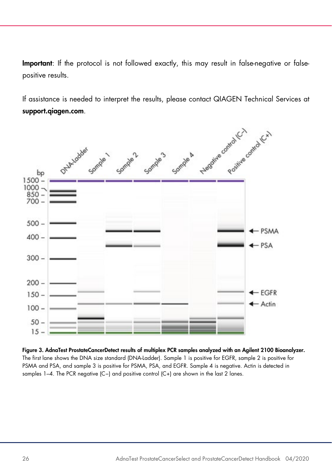Important: If the protocol is not followed exactly, this may result in false-negative or falsepositive results.

support.qiagen.com.



<span id="page-25-0"></span>Figure 3. AdnaTest ProstateCancerDetect results of multiplex PCR samples analyzed with an Agilent 2100 Bioanalyzer. The first lane shows the DNA size standard (DNA-Ladder). Sample 1 is positive for EGFR, sample 2 is positive for PSMA and PSA, and sample 3 is positive for PSMA, PSA, and EGFR. Sample 4 is negative. Actin is detected in samples 1–4. The PCR negative (C−) and positive control (C+) are shown in the last 2 lanes.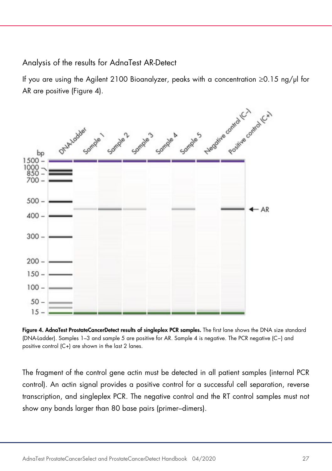<span id="page-26-1"></span>Analysis of the results for AdnaTest AR-Detect

If you are using the Agilent 2100 Bioanalyzer, peaks with a concentration ≥0.15 ng/µl for AR are positive [\(Figure 4\)](#page-26-0).



<span id="page-26-0"></span>Figure 4. AdnaTest ProstateCancerDetect results of singleplex PCR samples. The first lane shows the DNA size standard (DNA-Ladder). Samples 1–3 and sample 5 are positive for AR. Sample 4 is negative. The PCR negative (C−) and positive control (C+) are shown in the last 2 lanes.

The fragment of the control gene actin must be detected in all patient samples (internal PCR control). An actin signal provides a positive control for a successful cell separation, reverse transcription, and singleplex PCR. The negative control and the RT control samples must not show any bands larger than 80 base pairs (primer–dimers).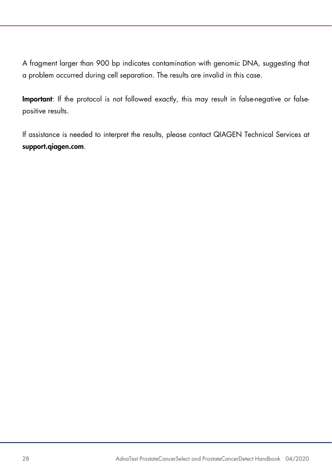A fragment larger than 900 bp indicates contamination with genomic DNA, suggesting that a problem occurred during cell separation. The results are invalid in this case.

Important: If the protocol is not followed exactly, this may result in false-negative or falsepositive results.

If assistance is needed to interpret the results, please contact QIAGEN Technical Services at support.qiagen.com.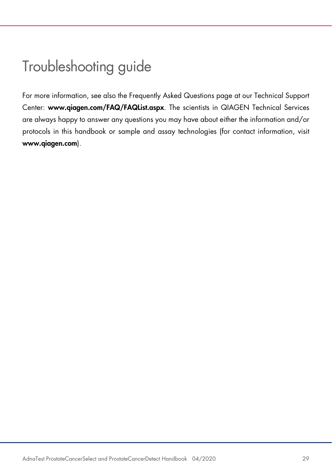### <span id="page-28-0"></span>Troubleshooting guide

For more information, see also the Frequently Asked Questions page at our Technical Support Center: www.qiagen.com/FAQ/FAQList.aspx. The scientists in QIAGEN Technical Services are always happy to answer any questions you may have about either the information and/or protocols in this handbook or sample and assay technologies (for contact information, visit www.qiagen.com).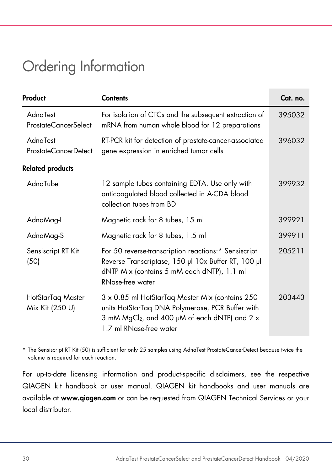### <span id="page-29-0"></span>Ordering Information

| Product                                 | <b>Contents</b>                                                                                                                                                                             | Cat. no. |
|-----------------------------------------|---------------------------------------------------------------------------------------------------------------------------------------------------------------------------------------------|----------|
| AdnaTest<br>ProstateCancerSelect        | For isolation of CTCs and the subsequent extraction of<br>mRNA from human whole blood for 12 preparations                                                                                   | 395032   |
| AdnaTest<br><b>ProstateCancerDetect</b> | RT-PCR kit for detection of prostate-cancer-associated<br>gene expression in enriched tumor cells                                                                                           | 396032   |
| <b>Related products</b>                 |                                                                                                                                                                                             |          |
| AdnaTube                                | 12 sample tubes containing EDTA. Use only with<br>anticoagulated blood collected in A-CDA blood<br>collection tubes from BD                                                                 | 399932   |
| AdnaMag-L                               | Magnetic rack for 8 tubes, 15 ml                                                                                                                                                            | 399921   |
| AdnaMag-S                               | Magnetic rack for 8 tubes, 1.5 ml                                                                                                                                                           | 399911   |
| Sensiscript RT Kit<br>(50)              | For 50 reverse-transcription reactions:* Sensiscript<br>Reverse Transcriptase, 150 µl 10x Buffer RT, 100 µl<br>dNTP Mix (contains 5 mM each dNTP), 1.1 ml<br>RNase-free water               | 205211   |
| HotStarTaq Master<br>Mix Kit (250 U)    | 3 x 0.85 ml HotStarTaq Master Mix (contains 250<br>units HotStarTaq DNA Polymerase, PCR Buffer with<br>3 mM MgCl <sub>2</sub> , and 400 µM of each dNTP) and 2 x<br>1.7 ml RNase-free water | 203443   |

\* The Sensiscript RT Kit (50) is sufficient for only 25 samples using AdnaTest ProstateCancerDetect because twice the volume is required for each reaction.

For up-to-date licensing information and product-specific disclaimers, see the respective QIAGEN kit handbook or user manual. QIAGEN kit handbooks and user manuals are available at www.qiagen.com or can be requested from QIAGEN Technical Services or your local distributor.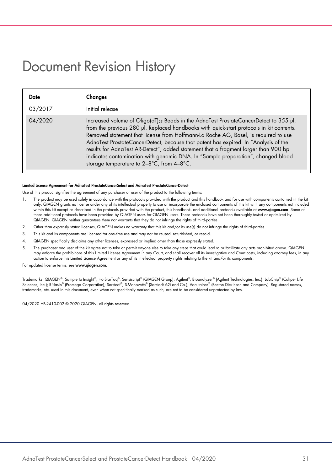### <span id="page-30-0"></span>Document Revision History

| Date    | Changes                                                                                                                                                                                                                                                                                                                                                                                                                                                                                                                                                                                             |
|---------|-----------------------------------------------------------------------------------------------------------------------------------------------------------------------------------------------------------------------------------------------------------------------------------------------------------------------------------------------------------------------------------------------------------------------------------------------------------------------------------------------------------------------------------------------------------------------------------------------------|
| 03/2017 | Initial release                                                                                                                                                                                                                                                                                                                                                                                                                                                                                                                                                                                     |
| 04/2020 | Increased volume of Oligo(dT) <sub>25</sub> Beads in the AdnaTest ProstateCancerDetect to 355 µl,<br>from the previous 280 µl. Replaced handbooks with quick-start protocols in kit contents.<br>Removed statement that license from Hoffmann-La Roche AG, Basel, is required to use<br>AdnaTest ProstateCancerDetect, because that patent has expired. In "Analysis of the<br>results for AdnaTest AR-Detect", added statement that a fragment larger than 900 bp<br>indicates contamination with genomic DNA. In "Sample preparation", changed blood<br>storage temperature to 2-8°C, from 4-8°C. |

#### Limited License Agreement for AdnaTest ProstateCancerSelect and AdnaTest ProstateCancerDetect

Use of this product signifies the agreement of any purchaser or user of the product to the following terms:

- 1. The product may be used solely in accordance with the protocols provided with the product and this handbook and for use with components contained in the kit only. QIAGEN grants no license under any of its intellectual property to use or incorporate the enclosed components of this kit with any components not included<br>within this kit except as described in the protocols provided these additional protocols have been provided by QIAGEN users for QIAGEN users. These protocols have not been thoroughly tested or optimized by QIAGEN. QIAGEN neither guarantees them nor warrants that they do not infringe the rights of third-parties.
- 2. Other than expressly stated licenses, QIAGEN makes no warranty that this kit and/or its use(s) do not infringe the rights of third-parties.
- 3. This kit and its components are licensed for one-time use and may not be reused, refurbished, or resold.
- 4. QIAGEN specifically disclaims any other licenses, expressed or implied other than those expressly stated.
- 5. The purchaser and user of the kit agree not to take or permit anyone else to take any steps that could lead to or tacilitate any acts prohibited above. QIAGEN<br>may enforce the prohibitions of this Limited License Agreeme action to enforce this Limited License Agreement or any of its intellectual property rights relating to the kit and/or its components.

For updated license terms, see www.qiagen.com.

Trademarks: QIAGEN®, Sample to Insight®, HotStarTaq®, Sensiscript® (QIAGEN Group); Agilen®, Bioanalyzer® (Agilent Technologies, Inc.); LabChip® (Caliper Life<br>Sciences, Inc.); RNasin® (Promega Corporation); Sarstedt®, S-Mon trademarks, etc. used in this document, even when not specifically marked as such, are not to be considered unprotected by law.

04/2020 HB-2410-002 © 2020 QIAGEN, all rights reserved.